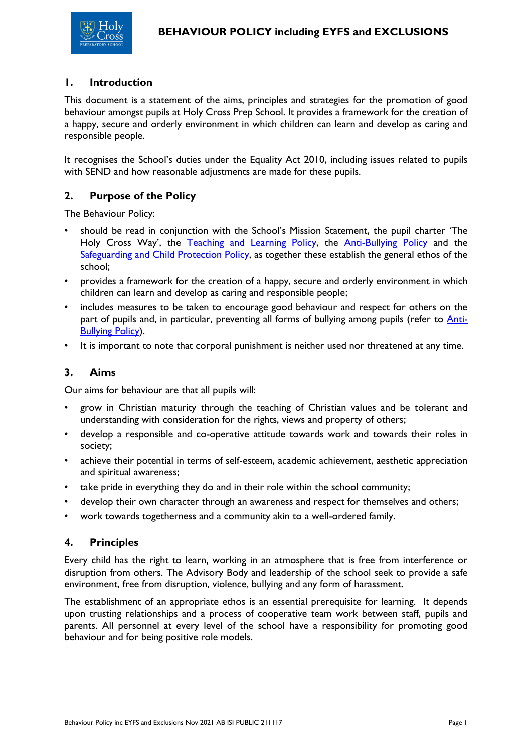

#### **1. Introduction**

This document is a statement of the aims, principles and strategies for the promotion of good behaviour amongst pupils at Holy Cross Prep School. It provides a framework for the creation of a happy, secure and orderly environment in which children can learn and develop as caring and responsible people.

It recognises the School's duties under the Equality Act 2010, including issues related to pupils with SEND and how reasonable adjustments are made for these pupils.

## **2. Purpose of the Policy**

The Behaviour Policy:

- should be read in conjunction with the School's Mission Statement, the pupil charter 'The Holy Cross Way', the [Teaching and Learning Policy,](file://///HCNET.AD/HCP/Share_Policies/Teaching%20and%20Learning%20Policy.pdf) the [Anti-Bullying Policy](file://///HCNET.AD/HCP/Share_Policies/Anti-Bullying%20Policy.pdf) and the [Safeguarding and Child Protection Policy,](file://///HCNET.AD/HCP/Share_Policies/Safeguarding%20and%20Child%20Protection%20Policy.pdf) as together these establish the general ethos of the school;
- provides a framework for the creation of a happy, secure and orderly environment in which children can learn and develop as caring and responsible people;
- includes measures to be taken to encourage good behaviour and respect for others on the part of pupils and, in particular, preventing all forms of bullying among pupils (refer to [Anti-](file://///HCNET.AD/HCP/Share_Policies/Anti-Bullying%20Policy.pdf)[Bullying Policy\)](file://///HCNET.AD/HCP/Share_Policies/Anti-Bullying%20Policy.pdf).
- It is important to note that corporal punishment is neither used nor threatened at any time.

### **3. Aims**

Our aims for behaviour are that all pupils will:

- grow in Christian maturity through the teaching of Christian values and be tolerant and understanding with consideration for the rights, views and property of others;
- develop a responsible and co-operative attitude towards work and towards their roles in society;
- achieve their potential in terms of self-esteem, academic achievement, aesthetic appreciation and spiritual awareness;
- take pride in everything they do and in their role within the school community;
- develop their own character through an awareness and respect for themselves and others;
- work towards togetherness and a community akin to a well-ordered family.

#### **4. Principles**

Every child has the right to learn, working in an atmosphere that is free from interference or disruption from others. The Advisory Body and leadership of the school seek to provide a safe environment, free from disruption, violence, bullying and any form of harassment.

The establishment of an appropriate ethos is an essential prerequisite for learning. It depends upon trusting relationships and a process of cooperative team work between staff, pupils and parents. All personnel at every level of the school have a responsibility for promoting good behaviour and for being positive role models.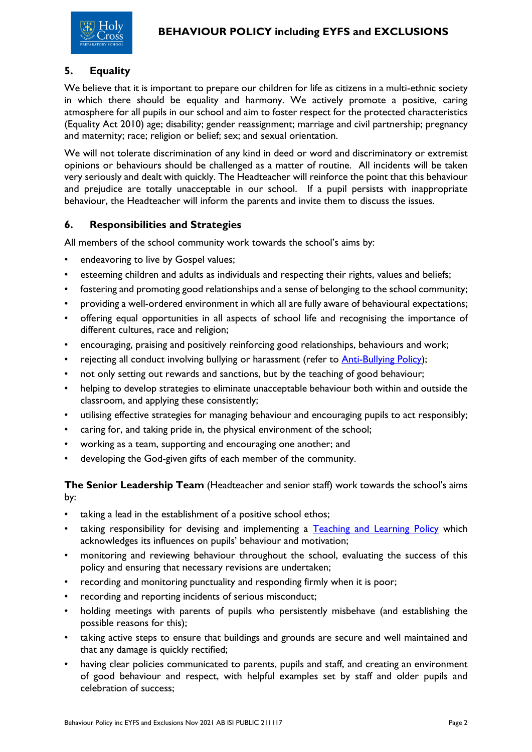# **5. Equality**

We believe that it is important to prepare our children for life as citizens in a multi-ethnic society in which there should be equality and harmony. We actively promote a positive, caring atmosphere for all pupils in our school and aim to foster respect for the protected characteristics (Equality Act 2010) age; disability; gender reassignment; marriage and civil partnership; pregnancy and maternity; race; religion or belief; sex; and sexual orientation.

We will not tolerate discrimination of any kind in deed or word and discriminatory or extremist opinions or behaviours should be challenged as a matter of routine. All incidents will be taken very seriously and dealt with quickly. The Headteacher will reinforce the point that this behaviour and prejudice are totally unacceptable in our school. If a pupil persists with inappropriate behaviour, the Headteacher will inform the parents and invite them to discuss the issues.

#### **6. Responsibilities and Strategies**

All members of the school community work towards the school's aims by:

- endeavoring to live by Gospel values;
- esteeming children and adults as individuals and respecting their rights, values and beliefs;
- fostering and promoting good relationships and a sense of belonging to the school community;
- providing a well-ordered environment in which all are fully aware of behavioural expectations;
- offering equal opportunities in all aspects of school life and recognising the importance of different cultures, race and religion;
- encouraging, praising and positively reinforcing good relationships, behaviours and work;
- rejecting all conduct involving bullying or harassment (refer to [Anti-Bullying Policy\)](file://///HCNET.AD/HCP/Share_Policies/Anti-Bullying%20Policy.pdf);
- not only setting out rewards and sanctions, but by the teaching of good behaviour;
- helping to develop strategies to eliminate unacceptable behaviour both within and outside the classroom, and applying these consistently;
- utilising effective strategies for managing behaviour and encouraging pupils to act responsibly;
- caring for, and taking pride in, the physical environment of the school;
- working as a team, supporting and encouraging one another; and
- developing the God-given gifts of each member of the community.

**The Senior Leadership Team** (Headteacher and senior staff) work towards the school's aims by:

- taking a lead in the establishment of a positive school ethos;
- taking responsibility for devising and implementing a [Teaching and Learning Policy](file://///HCNET.AD/HCP/Share_Policies/Teaching%20and%20Learning%20Policy.pdf) which acknowledges its influences on pupils' behaviour and motivation;
- monitoring and reviewing behaviour throughout the school, evaluating the success of this policy and ensuring that necessary revisions are undertaken;
- recording and monitoring punctuality and responding firmly when it is poor;
- recording and reporting incidents of serious misconduct;
- holding meetings with parents of pupils who persistently misbehave (and establishing the possible reasons for this);
- taking active steps to ensure that buildings and grounds are secure and well maintained and that any damage is quickly rectified;
- having clear policies communicated to parents, pupils and staff, and creating an environment of good behaviour and respect, with helpful examples set by staff and older pupils and celebration of success;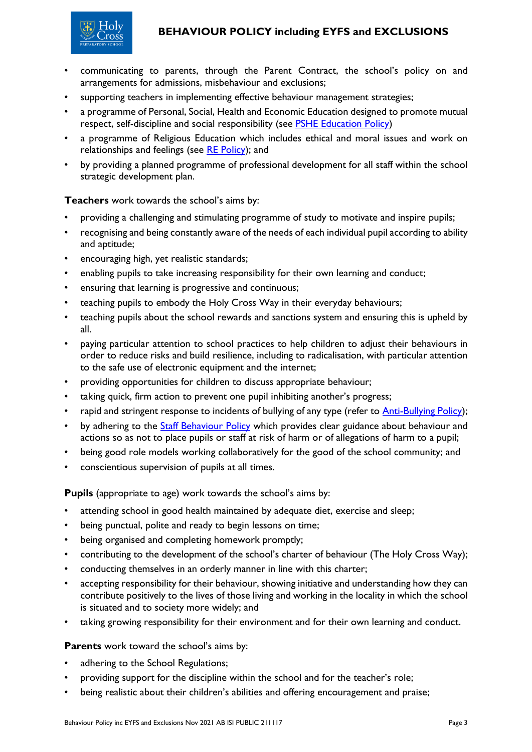# **BEHAVIOUR POLICY including EYFS and EXCLUSIONS**



- communicating to parents, through the Parent Contract, the school's policy on and arrangements for admissions, misbehaviour and exclusions;
- supporting teachers in implementing effective behaviour management strategies;
- a programme of Personal, Social, Health and Economic Education designed to promote mutual respect, self-discipline and social responsibility (see PSHE [Education](file://///HCNET.AD/HCP/Share_Policies/Curriculum%20-%20PSHE%20Education%20Policy%20inc%20EYFS.pdf) Policy)
- a programme of Religious Education which includes ethical and moral issues and work on relationships and feelings (see [RE Policy\)](file://///HCNET.AD/HCP/Share_Policies/Curriculum%20-%20RE%20Policy.pdf); and
- by providing a planned programme of professional development for all staff within the school strategic development plan.

**Teachers** work towards the school's aims by:

- providing a challenging and stimulating programme of study to motivate and inspire pupils;
- recognising and being constantly aware of the needs of each individual pupil according to ability and aptitude;
- encouraging high, yet realistic standards;
- enabling pupils to take increasing responsibility for their own learning and conduct;
- ensuring that learning is progressive and continuous;
- teaching pupils to embody the Holy Cross Way in their everyday behaviours;
- teaching pupils about the school rewards and sanctions system and ensuring this is upheld by all.
- paying particular attention to school practices to help children to adjust their behaviours in order to reduce risks and build resilience, including to radicalisation, with particular attention to the safe use of electronic equipment and the internet;
- providing opportunities for children to discuss appropriate behaviour;
- taking quick, firm action to prevent one pupil inhibiting another's progress;
- rapid and stringent response to incidents of bullying of any type (refer to [Anti-Bullying Policy\)](file://///HCNET.AD/HCP/Share_Policies/Anti-Bullying%20Policy.pdf);
- by adhering to the [Staff Behaviour Policy](file://///HCNET.AD/HCP/Share_Policies/Staff%20Behaviour%20Policy.pdf) which provides clear guidance about behaviour and actions so as not to place pupils or staff at risk of harm or of allegations of harm to a pupil;
- being good role models working collaboratively for the good of the school community; and
- conscientious supervision of pupils at all times.

**Pupils** (appropriate to age) work towards the school's aims by:

- attending school in good health maintained by adequate diet, exercise and sleep;
- being punctual, polite and ready to begin lessons on time;
- being organised and completing homework promptly;
- contributing to the development of the school's charter of behaviour (The Holy Cross Way);
- conducting themselves in an orderly manner in line with this charter;
- accepting responsibility for their behaviour, showing initiative and understanding how they can contribute positively to the lives of those living and working in the locality in which the school is situated and to society more widely; and
- taking growing responsibility for their environment and for their own learning and conduct.

**Parents** work toward the school's aims by:

- adhering to the School Regulations;
- providing support for the discipline within the school and for the teacher's role;
- being realistic about their children's abilities and offering encouragement and praise;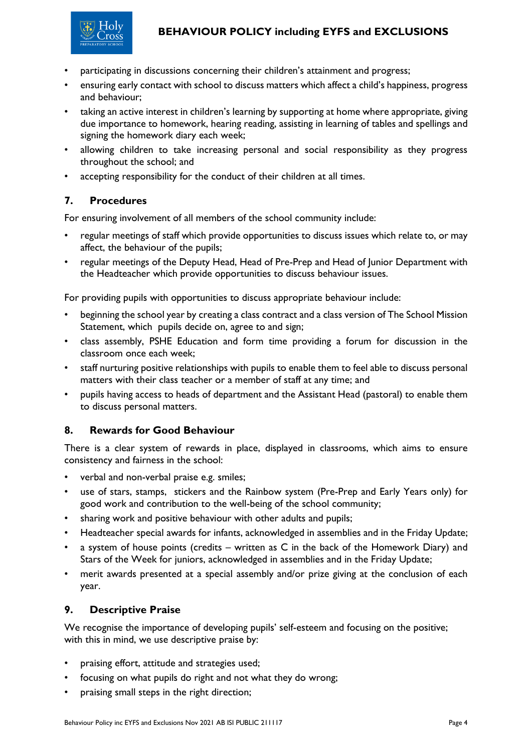

- participating in discussions concerning their children's attainment and progress;
- ensuring early contact with school to discuss matters which affect a child's happiness, progress and behaviour;
- taking an active interest in children's learning by supporting at home where appropriate, giving due importance to homework, hearing reading, assisting in learning of tables and spellings and signing the homework diary each week;
- allowing children to take increasing personal and social responsibility as they progress throughout the school; and
- accepting responsibility for the conduct of their children at all times.

## **7. Procedures**

For ensuring involvement of all members of the school community include:

- regular meetings of staff which provide opportunities to discuss issues which relate to, or may affect, the behaviour of the pupils;
- regular meetings of the Deputy Head, Head of Pre-Prep and Head of Junior Department with the Headteacher which provide opportunities to discuss behaviour issues.

For providing pupils with opportunities to discuss appropriate behaviour include:

- beginning the school year by creating a class contract and a class version of The School Mission Statement, which pupils decide on, agree to and sign;
- class assembly, PSHE Education and form time providing a forum for discussion in the classroom once each week;
- staff nurturing positive relationships with pupils to enable them to feel able to discuss personal matters with their class teacher or a member of staff at any time; and
- pupils having access to heads of department and the Assistant Head (pastoral) to enable them to discuss personal matters.

## **8. Rewards for Good Behaviour**

There is a clear system of rewards in place, displayed in classrooms, which aims to ensure consistency and fairness in the school:

- verbal and non-verbal praise e.g. smiles;
- use of stars, stamps, stickers and the Rainbow system (Pre-Prep and Early Years only) for good work and contribution to the well-being of the school community;
- sharing work and positive behaviour with other adults and pupils;
- Headteacher special awards for infants, acknowledged in assemblies and in the Friday Update;
- a system of house points (credits  $-$  written as  $C$  in the back of the Homework Diary) and Stars of the Week for juniors, acknowledged in assemblies and in the Friday Update;
- merit awards presented at a special assembly and/or prize giving at the conclusion of each year.

## **9. Descriptive Praise**

We recognise the importance of developing pupils' self-esteem and focusing on the positive; with this in mind, we use descriptive praise by:

- praising effort, attitude and strategies used;
- focusing on what pupils do right and not what they do wrong;
- praising small steps in the right direction;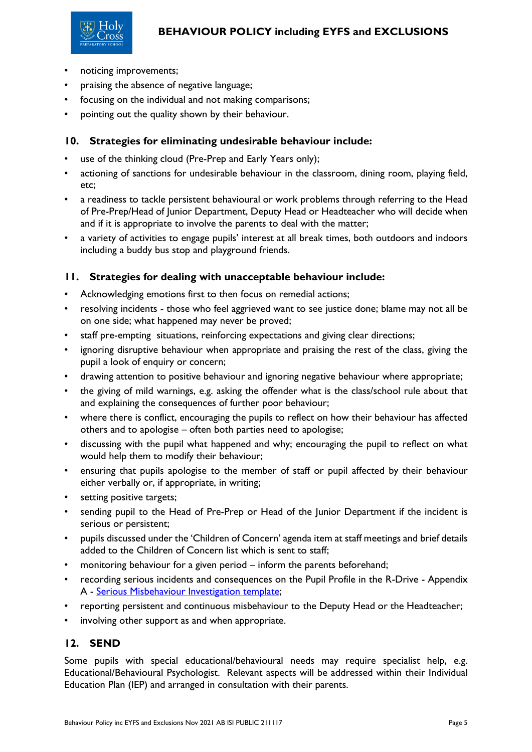



- noticing improvements;
- praising the absence of negative language;
- focusing on the individual and not making comparisons;
- pointing out the quality shown by their behaviour.

# **10. Strategies for eliminating undesirable behaviour include:**

- use of the thinking cloud (Pre-Prep and Early Years only);
- actioning of sanctions for undesirable behaviour in the classroom, dining room, playing field, etc;
- a readiness to tackle persistent behavioural or work problems through referring to the Head of Pre-Prep/Head of Junior Department, Deputy Head or Headteacher who will decide when and if it is appropriate to involve the parents to deal with the matter;
- a variety of activities to engage pupils' interest at all break times, both outdoors and indoors including a buddy bus stop and playground friends.

# **11. Strategies for dealing with unacceptable behaviour include:**

- Acknowledging emotions first to then focus on remedial actions;
- resolving incidents those who feel aggrieved want to see justice done; blame may not all be on one side; what happened may never be proved;
- staff pre-empting situations, reinforcing expectations and giving clear directions;
- ignoring disruptive behaviour when appropriate and praising the rest of the class, giving the pupil a look of enquiry or concern;
- drawing attention to positive behaviour and ignoring negative behaviour where appropriate;
- the giving of mild warnings, e.g. asking the offender what is the class/school rule about that and explaining the consequences of further poor behaviour;
- where there is conflict, encouraging the pupils to reflect on how their behaviour has affected others and to apologise – often both parties need to apologise;
- discussing with the pupil what happened and why; encouraging the pupil to reflect on what would help them to modify their behaviour;
- ensuring that pupils apologise to the member of staff or pupil affected by their behaviour either verbally or, if appropriate, in writing;
- setting positive targets;
- sending pupil to the Head of Pre-Prep or Head of the Junior Department if the incident is serious or persistent;
- pupils discussed under the 'Children of Concern' agenda item at staff meetings and brief details added to the Children of Concern list which is sent to staff;
- monitoring behaviour for a given period inform the parents beforehand;
- recording serious incidents and consequences on the Pupil Profile in the R-Drive Appendix A - [Serious Misbehaviour Investigation template;](file:///C:/Users/kelly.lanigan/AppData/Local/Microsoft/Windows/Share_TeachersCommunal/STAFF%20FORMS/Serious%20Misbehaviour%20Investigation%20template.docx)
- reporting persistent and continuous misbehaviour to the Deputy Head or the Headteacher;
- involving other support as and when appropriate.

# **12. SEND**

Some pupils with special educational/behavioural needs may require specialist help, e.g. Educational/Behavioural Psychologist. Relevant aspects will be addressed within their Individual Education Plan (IEP) and arranged in consultation with their parents.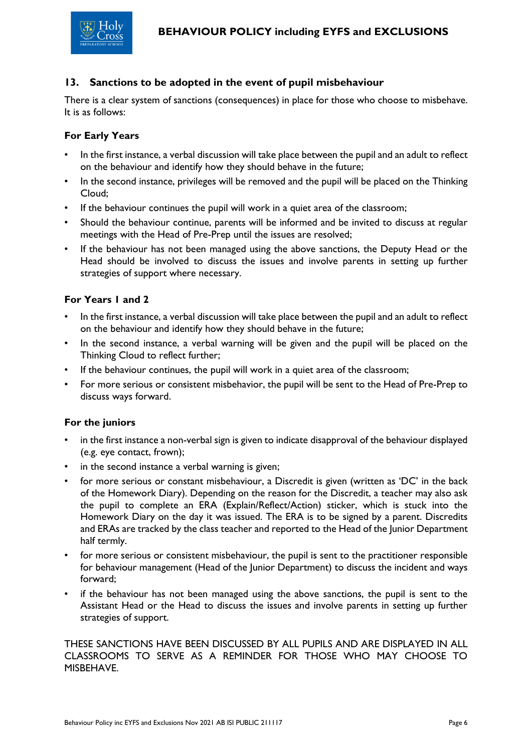#### **13. Sanctions to be adopted in the event of pupil misbehaviour**

There is a clear system of sanctions (consequences) in place for those who choose to misbehave. It is as follows:

#### **For Early Years**

- In the first instance, a verbal discussion will take place between the pupil and an adult to reflect on the behaviour and identify how they should behave in the future;
- In the second instance, privileges will be removed and the pupil will be placed on the Thinking Cloud;
- If the behaviour continues the pupil will work in a quiet area of the classroom;
- Should the behaviour continue, parents will be informed and be invited to discuss at regular meetings with the Head of Pre-Prep until the issues are resolved;
- If the behaviour has not been managed using the above sanctions, the Deputy Head or the Head should be involved to discuss the issues and involve parents in setting up further strategies of support where necessary.

#### **For Years 1 and 2**

- In the first instance, a verbal discussion will take place between the pupil and an adult to reflect on the behaviour and identify how they should behave in the future;
- In the second instance, a verbal warning will be given and the pupil will be placed on the Thinking Cloud to reflect further;
- If the behaviour continues, the pupil will work in a quiet area of the classroom;
- For more serious or consistent misbehavior, the pupil will be sent to the Head of Pre-Prep to discuss ways forward.

#### **For the juniors**

- in the first instance a non-verbal sign is given to indicate disapproval of the behaviour displayed (e.g. eye contact, frown);
- in the second instance a verbal warning is given;
- for more serious or constant misbehaviour, a Discredit is given (written as 'DC' in the back of the Homework Diary). Depending on the reason for the Discredit, a teacher may also ask the pupil to complete an ERA (Explain/Reflect/Action) sticker, which is stuck into the Homework Diary on the day it was issued. The ERA is to be signed by a parent. Discredits and ERAs are tracked by the class teacher and reported to the Head of the Junior Department half termly.
- for more serious or consistent misbehaviour, the pupil is sent to the practitioner responsible for behaviour management (Head of the Junior Department) to discuss the incident and ways forward;
- if the behaviour has not been managed using the above sanctions, the pupil is sent to the Assistant Head or the Head to discuss the issues and involve parents in setting up further strategies of support.

THESE SANCTIONS HAVE BEEN DISCUSSED BY ALL PUPILS AND ARE DISPLAYED IN ALL CLASSROOMS TO SERVE AS A REMINDER FOR THOSE WHO MAY CHOOSE TO MISBEHAVE.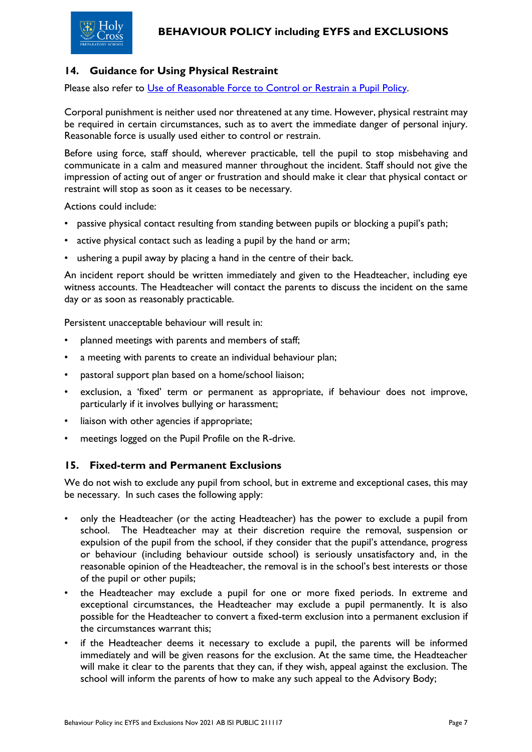# **14. Guidance for Using Physical Restraint**

Please also refer to [Use of Reasonable Force to Control or Restrain a](file://///HCNET.AD/HCP/Share_Policies/Use%20of%20Reasonable%20Force%20to%20Control%20or%20Restrain%20a%20Pupil%20Policy.pdf) Pupil Policy.

Corporal punishment is neither used nor threatened at any time. However, physical restraint may be required in certain circumstances, such as to avert the immediate danger of personal injury. Reasonable force is usually used either to control or restrain.

Before using force, staff should, wherever practicable, tell the pupil to stop misbehaving and communicate in a calm and measured manner throughout the incident. Staff should not give the impression of acting out of anger or frustration and should make it clear that physical contact or restraint will stop as soon as it ceases to be necessary.

Actions could include:

- passive physical contact resulting from standing between pupils or blocking a pupil's path;
- active physical contact such as leading a pupil by the hand or arm;
- ushering a pupil away by placing a hand in the centre of their back.

An incident report should be written immediately and given to the Headteacher, including eye witness accounts. The Headteacher will contact the parents to discuss the incident on the same day or as soon as reasonably practicable.

Persistent unacceptable behaviour will result in:

- planned meetings with parents and members of staff;
- a meeting with parents to create an individual behaviour plan;
- pastoral support plan based on a home/school liaison;
- exclusion, a 'fixed' term or permanent as appropriate, if behaviour does not improve, particularly if it involves bullying or harassment;
- liaison with other agencies if appropriate;
- meetings logged on the Pupil Profile on the R-drive.

## **15. Fixed-term and Permanent Exclusions**

We do not wish to exclude any pupil from school, but in extreme and exceptional cases, this may be necessary. In such cases the following apply:

- only the Headteacher (or the acting Headteacher) has the power to exclude a pupil from school. The Headteacher may at their discretion require the removal, suspension or expulsion of the pupil from the school, if they consider that the pupil's attendance, progress or behaviour (including behaviour outside school) is seriously unsatisfactory and, in the reasonable opinion of the Headteacher, the removal is in the school's best interests or those of the pupil or other pupils;
- the Headteacher may exclude a pupil for one or more fixed periods. In extreme and exceptional circumstances, the Headteacher may exclude a pupil permanently. It is also possible for the Headteacher to convert a fixed-term exclusion into a permanent exclusion if the circumstances warrant this;
- if the Headteacher deems it necessary to exclude a pupil, the parents will be informed immediately and will be given reasons for the exclusion. At the same time, the Headteacher will make it clear to the parents that they can, if they wish, appeal against the exclusion. The school will inform the parents of how to make any such appeal to the Advisory Body;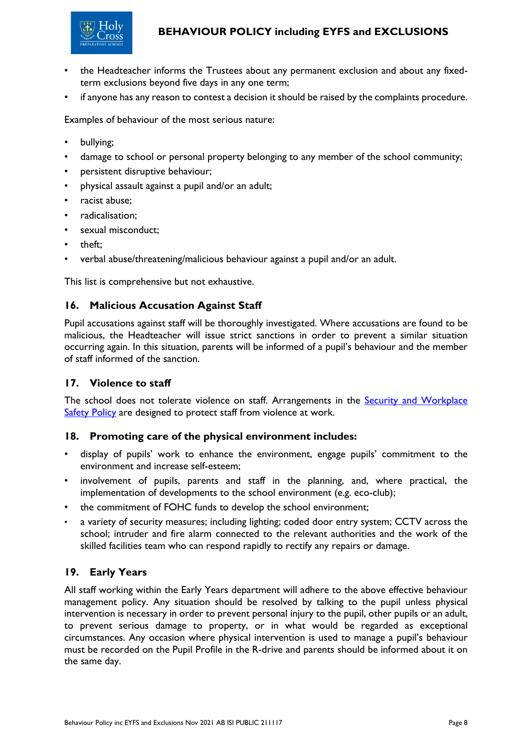

# **BEHAVIOUR POLICY including EYFS and EXCLUSIONS**

- the Headteacher informs the Trustees about any permanent exclusion and about any fixedterm exclusions beyond five days in any one term;
- if anyone has any reason to contest a decision it should be raised by the complaints procedure.

Examples of behaviour of the most serious nature:

- bullying;
- damage to school or personal property belonging to any member of the school community;
- persistent disruptive behaviour;
- physical assault against a pupil and/or an adult;
- racist abuse;
- radicalisation;
- sexual misconduct;
- theft;
- verbal abuse/threatening/malicious behaviour against a pupil and/or an adult.

This list is comprehensive but not exhaustive.

#### **16. Malicious Accusation Against Staff**

Pupil accusations against staff will be thoroughly investigated. Where accusations are found to be malicious, the Headteacher will issue strict sanctions in order to prevent a similar situation occurring again. In this situation, parents will be informed of a pupil's behaviour and the member of staff informed of the sanction.

#### **17. Violence to staff**

The school does not tolerate violence on staff. Arrangements in the **Security and Workplace** [Safety Policy](file://///HCNET.AD/HCP/Share_Policies/Security%20and%20Workplace%20Safety%20Policy.pdf) are designed to protect staff from violence at work.

#### **18. Promoting care of the physical environment includes:**

- display of pupils' work to enhance the environment, engage pupils' commitment to the environment and increase self-esteem;
- involvement of pupils, parents and staff in the planning, and, where practical, the implementation of developments to the school environment (e.g. eco-club);
- the commitment of FOHC funds to develop the school environment;
- a variety of security measures; including lighting; coded door entry system; CCTV across the school; intruder and fire alarm connected to the relevant authorities and the work of the skilled facilities team who can respond rapidly to rectify any repairs or damage.

## **19. Early Years**

All staff working within the Early Years department will adhere to the above effective behaviour management policy. Any situation should be resolved by talking to the pupil unless physical intervention is necessary in order to prevent personal injury to the pupil, other pupils or an adult, to prevent serious damage to property, or in what would be regarded as exceptional circumstances. Any occasion where physical intervention is used to manage a pupil's behaviour must be recorded on the Pupil Profile in the R-drive and parents should be informed about it on the same day.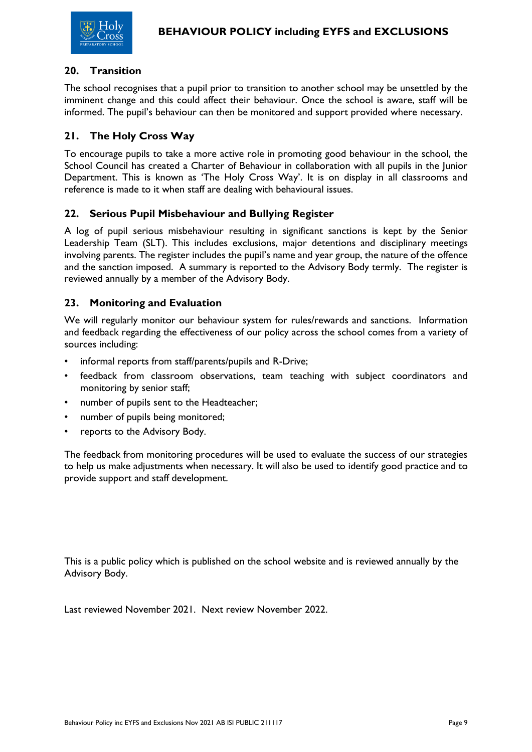

#### **20. Transition**

The school recognises that a pupil prior to transition to another school may be unsettled by the imminent change and this could affect their behaviour. Once the school is aware, staff will be informed. The pupil's behaviour can then be monitored and support provided where necessary.

## **21. The Holy Cross Way**

To encourage pupils to take a more active role in promoting good behaviour in the school, the School Council has created a Charter of Behaviour in collaboration with all pupils in the Junior Department. This is known as 'The Holy Cross Way'. It is on display in all classrooms and reference is made to it when staff are dealing with behavioural issues.

#### **22. Serious Pupil Misbehaviour and Bullying Register**

A log of pupil serious misbehaviour resulting in significant sanctions is kept by the Senior Leadership Team (SLT). This includes exclusions, major detentions and disciplinary meetings involving parents. The register includes the pupil's name and year group, the nature of the offence and the sanction imposed. A summary is reported to the Advisory Body termly. The register is reviewed annually by a member of the Advisory Body.

#### **23. Monitoring and Evaluation**

We will regularly monitor our behaviour system for rules/rewards and sanctions. Information and feedback regarding the effectiveness of our policy across the school comes from a variety of sources including:

- informal reports from staff/parents/pupils and R-Drive;
- feedback from classroom observations, team teaching with subject coordinators and monitoring by senior staff;
- number of pupils sent to the Headteacher;
- number of pupils being monitored;
- reports to the Advisory Body.

The feedback from monitoring procedures will be used to evaluate the success of our strategies to help us make adjustments when necessary. It will also be used to identify good practice and to provide support and staff development.

This is a public policy which is published on the school website and is reviewed annually by the Advisory Body.

Last reviewed November 2021. Next review November 2022.